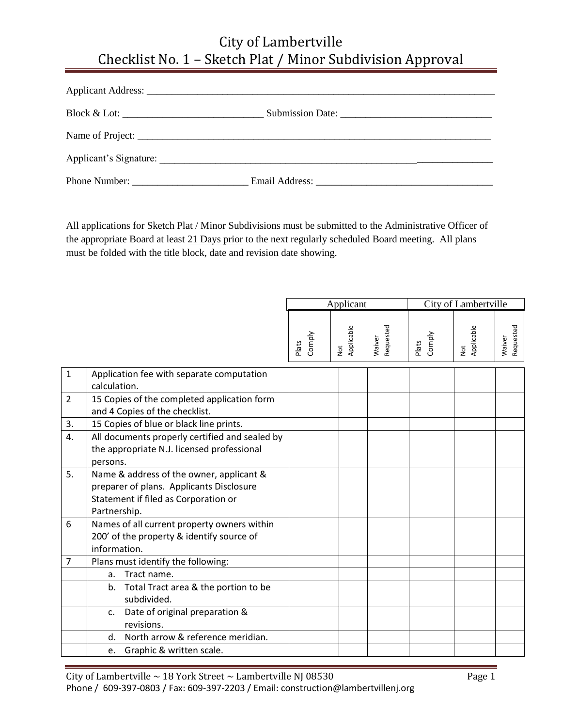| Phone Number: |  |
|---------------|--|

All applications for Sketch Plat / Minor Subdivisions must be submitted to the Administrative Officer of the appropriate Board at least 21 Days prior to the next regularly scheduled Board meeting. All plans must be folded with the title block, date and revision date showing.

|                |                                                                                                                                              | Applicant       |                          |                     | City of Lambertville |                   |                     |  |
|----------------|----------------------------------------------------------------------------------------------------------------------------------------------|-----------------|--------------------------|---------------------|----------------------|-------------------|---------------------|--|
|                |                                                                                                                                              | Comply<br>Plats | Applicable<br><b>Not</b> | Requested<br>Waiver | Comply<br>Plats      | Not<br>Applicable | Requested<br>Waiver |  |
| $\mathbf{1}$   | Application fee with separate computation<br>calculation.                                                                                    |                 |                          |                     |                      |                   |                     |  |
| $\overline{2}$ | 15 Copies of the completed application form<br>and 4 Copies of the checklist.                                                                |                 |                          |                     |                      |                   |                     |  |
| 3.             | 15 Copies of blue or black line prints.                                                                                                      |                 |                          |                     |                      |                   |                     |  |
| 4.             | All documents properly certified and sealed by<br>the appropriate N.J. licensed professional<br>persons.                                     |                 |                          |                     |                      |                   |                     |  |
| 5.             | Name & address of the owner, applicant &<br>preparer of plans. Applicants Disclosure<br>Statement if filed as Corporation or<br>Partnership. |                 |                          |                     |                      |                   |                     |  |
| 6              | Names of all current property owners within<br>200' of the property & identify source of<br>information.                                     |                 |                          |                     |                      |                   |                     |  |
| $\overline{7}$ | Plans must identify the following:                                                                                                           |                 |                          |                     |                      |                   |                     |  |
|                | Tract name.<br>a.                                                                                                                            |                 |                          |                     |                      |                   |                     |  |
|                | Total Tract area & the portion to be<br>b <sub>1</sub><br>subdivided.                                                                        |                 |                          |                     |                      |                   |                     |  |
|                | Date of original preparation &<br>C <sub>1</sub><br>revisions.                                                                               |                 |                          |                     |                      |                   |                     |  |
|                | North arrow & reference meridian.<br>d.                                                                                                      |                 |                          |                     |                      |                   |                     |  |
|                | Graphic & written scale.<br>e.                                                                                                               |                 |                          |                     |                      |                   |                     |  |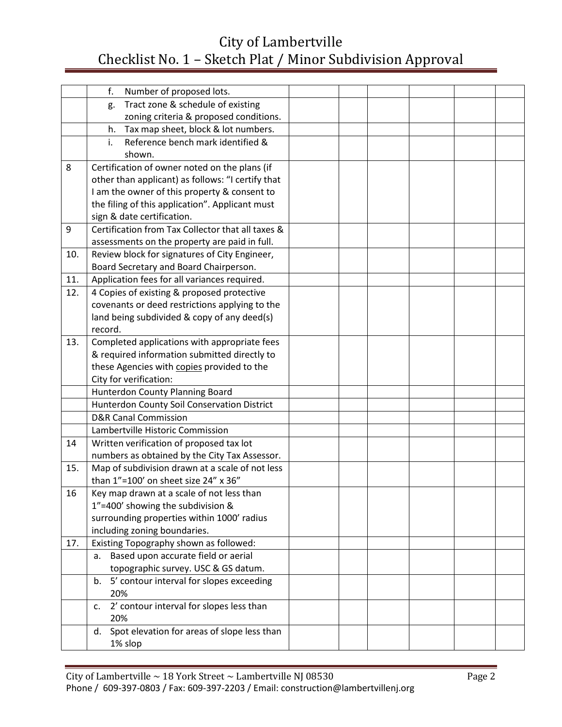|     | f.<br>Number of proposed lots.                    |  |  |  |
|-----|---------------------------------------------------|--|--|--|
|     | Tract zone & schedule of existing<br>g.           |  |  |  |
|     | zoning criteria & proposed conditions.            |  |  |  |
|     | Tax map sheet, block & lot numbers.<br>h.         |  |  |  |
|     | Reference bench mark identified &<br>i.           |  |  |  |
|     | shown.                                            |  |  |  |
| 8   | Certification of owner noted on the plans (if     |  |  |  |
|     | other than applicant) as follows: "I certify that |  |  |  |
|     | I am the owner of this property & consent to      |  |  |  |
|     | the filing of this application". Applicant must   |  |  |  |
|     | sign & date certification.                        |  |  |  |
| 9   | Certification from Tax Collector that all taxes & |  |  |  |
|     | assessments on the property are paid in full.     |  |  |  |
| 10. | Review block for signatures of City Engineer,     |  |  |  |
|     | Board Secretary and Board Chairperson.            |  |  |  |
| 11. | Application fees for all variances required.      |  |  |  |
| 12. | 4 Copies of existing & proposed protective        |  |  |  |
|     | covenants or deed restrictions applying to the    |  |  |  |
|     | land being subdivided & copy of any deed(s)       |  |  |  |
|     | record.                                           |  |  |  |
| 13. | Completed applications with appropriate fees      |  |  |  |
|     | & required information submitted directly to      |  |  |  |
|     | these Agencies with copies provided to the        |  |  |  |
|     | City for verification:                            |  |  |  |
|     | Hunterdon County Planning Board                   |  |  |  |
|     | Hunterdon County Soil Conservation District       |  |  |  |
|     | <b>D&amp;R Canal Commission</b>                   |  |  |  |
|     | Lambertville Historic Commission                  |  |  |  |
| 14  | Written verification of proposed tax lot          |  |  |  |
|     | numbers as obtained by the City Tax Assessor.     |  |  |  |
| 15. | Map of subdivision drawn at a scale of not less   |  |  |  |
|     | than 1"=100' on sheet size 24" x 36"              |  |  |  |
| 16  | Key map drawn at a scale of not less than         |  |  |  |
|     | 1"=400' showing the subdivision &                 |  |  |  |
|     | surrounding properties within 1000' radius        |  |  |  |
|     | including zoning boundaries.                      |  |  |  |
| 17. | Existing Topography shown as followed:            |  |  |  |
|     | Based upon accurate field or aerial<br>a.         |  |  |  |
|     | topographic survey. USC & GS datum.               |  |  |  |
|     | 5' contour interval for slopes exceeding<br>b.    |  |  |  |
|     | 20%                                               |  |  |  |
|     | 2' contour interval for slopes less than<br>c.    |  |  |  |
|     | 20%                                               |  |  |  |
|     | Spot elevation for areas of slope less than<br>d. |  |  |  |
|     | 1% slop                                           |  |  |  |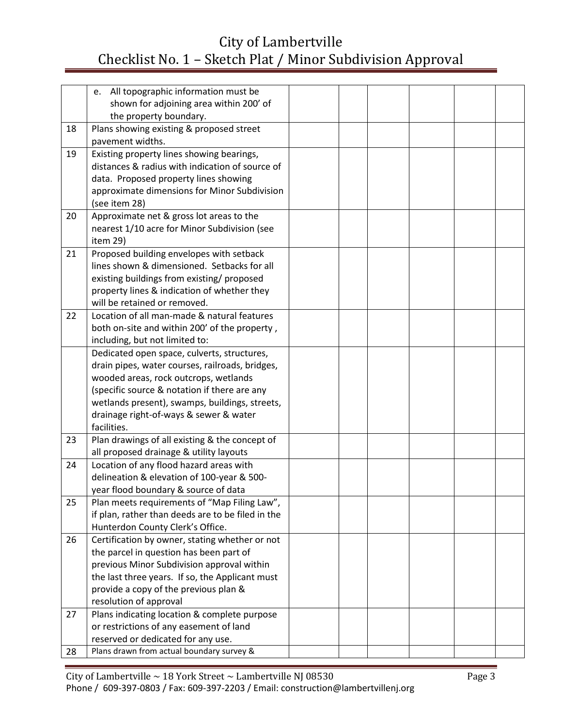|    | e. All topographic information must be<br>shown for adjoining area within 200' of                                                                                                                                                                                                                  |  |  |  |
|----|----------------------------------------------------------------------------------------------------------------------------------------------------------------------------------------------------------------------------------------------------------------------------------------------------|--|--|--|
|    | the property boundary.                                                                                                                                                                                                                                                                             |  |  |  |
| 18 | Plans showing existing & proposed street<br>pavement widths.                                                                                                                                                                                                                                       |  |  |  |
| 19 | Existing property lines showing bearings,<br>distances & radius with indication of source of<br>data. Proposed property lines showing<br>approximate dimensions for Minor Subdivision<br>(see item 28)                                                                                             |  |  |  |
| 20 | Approximate net & gross lot areas to the<br>nearest 1/10 acre for Minor Subdivision (see<br>item 29)                                                                                                                                                                                               |  |  |  |
| 21 | Proposed building envelopes with setback<br>lines shown & dimensioned. Setbacks for all<br>existing buildings from existing/ proposed<br>property lines & indication of whether they<br>will be retained or removed.                                                                               |  |  |  |
| 22 | Location of all man-made & natural features<br>both on-site and within 200' of the property,<br>including, but not limited to:                                                                                                                                                                     |  |  |  |
|    | Dedicated open space, culverts, structures,<br>drain pipes, water courses, railroads, bridges,<br>wooded areas, rock outcrops, wetlands<br>(specific source & notation if there are any<br>wetlands present), swamps, buildings, streets,<br>drainage right-of-ways & sewer & water<br>facilities. |  |  |  |
| 23 | Plan drawings of all existing & the concept of<br>all proposed drainage & utility layouts                                                                                                                                                                                                          |  |  |  |
| 24 | Location of any flood hazard areas with<br>delineation & elevation of 100-year & 500-<br>year flood boundary & source of data                                                                                                                                                                      |  |  |  |
| 25 | Plan meets requirements of "Map Filing Law",<br>if plan, rather than deeds are to be filed in the<br>Hunterdon County Clerk's Office.                                                                                                                                                              |  |  |  |
| 26 | Certification by owner, stating whether or not<br>the parcel in question has been part of<br>previous Minor Subdivision approval within<br>the last three years. If so, the Applicant must<br>provide a copy of the previous plan &<br>resolution of approval                                      |  |  |  |
| 27 | Plans indicating location & complete purpose<br>or restrictions of any easement of land<br>reserved or dedicated for any use.                                                                                                                                                                      |  |  |  |
| 28 | Plans drawn from actual boundary survey &                                                                                                                                                                                                                                                          |  |  |  |
|    |                                                                                                                                                                                                                                                                                                    |  |  |  |